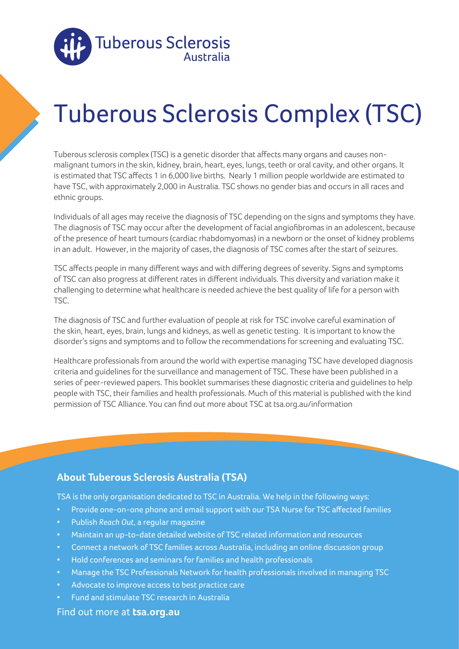

# Tuberous Sclerosis Complex (TSC)

Tuberous sclerosis complex (TSC) is a genetic disorder that affects many organs and causes nonmalignant tumors in the skin, kidney, brain, heart, eyes, lungs, teeth or oral cavity, and other organs. It is estimated that TSC affects 1 in 6,000 live births. Nearly 1 million people worldwide are estimated to have TSC, with approximately 2,000 in Australia. TSC shows no gender bias and occurs in all races and ethnic groups.

Individuals of all ages may receive the diagnosis of TSC depending on the signs and symptoms they have. The diagnosis of TSC may occur after the development of facial angiofibromas in an adolescent, because of the presence of heart tumours (cardiac rhabdomyomas) in a newborn or the onset of kidney problems in an adult. However, in the majority of cases, the diagnosis of TSC comes after the start of seizures.

TSC affects people in many different ways and with differing degrees of severity. Signs and symptoms of TSC can also progress at different rates in different individuals. This diversity and variation make it challenging to determine what healthcare is needed achieve the best quality of life for a person with TSC.

The diagnosis of TSC and further evaluation of people at risk for TSC involve careful examination of the skin, heart, eyes, brain, lungs and kidneys, as well as genetic testing. It is important to know the disorder's signs and symptoms and to follow the recommendations for screening and evaluating TSC.

Healthcare professionals from around the world with expertise managing TSC have developed diagnosis criteria and guidelines for the surveillance and management of TSC. These have been published in a series of peer-reviewed papers. This booklet summarises these diagnostic criteria and guidelines to help people with TSC, their families and health professionals. Much of this material is published with the kind permission of TSC Alliance. You can find out more about TSC at tsa.org.au/information

### **About Tuberous Sclerosis Australia (TSA)**

TSA is the only organisation dedicated to TSC in Australia. We help in the following ways:

- Provide one-on-one phone and email support with our TSA Nurse for TSC affected families
- Publish *Reach Out*, a regular magazine
- Maintain an up-to-date detailed website of TSC related information and resources
- Connect a network of TSC families across Australia, including an online discussion group
- Hold conferences and seminars for families and health professionals
- Manage the TSC Professionals Network for health professionals involved in managing TSC
- Advocate to improve access to best practice care
- Fund and stimulate TSC research in Australia

#### Find out more at **tsa.org.au**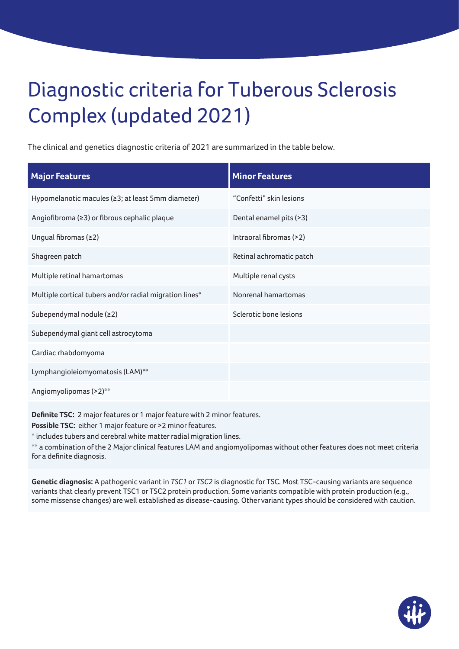## Diagnostic criteria for Tuberous Sclerosis Complex (updated 2021)

The clinical and genetics diagnostic criteria of 2021 are summarized in the table below.

| <b>Major Features</b>                                   | <b>Minor Features</b>    |
|---------------------------------------------------------|--------------------------|
| Hypomelanotic macules (≥3; at least 5mm diameter)       | "Confetti" skin lesions  |
| Angiofibroma (≥3) or fibrous cephalic plaque            | Dental enamel pits (>3)  |
| Ungual fibromas (≥2)                                    | Intraoral fibromas (>2)  |
| Shagreen patch                                          | Retinal achromatic patch |
| Multiple retinal hamartomas                             | Multiple renal cysts     |
| Multiple cortical tubers and/or radial migration lines* | Nonrenal hamartomas      |
| Subependymal nodule (≥2)                                | Sclerotic bone lesions   |
| Subependymal giant cell astrocytoma                     |                          |
| Cardiac rhabdomyoma                                     |                          |
| Lymphangioleiomyomatosis (LAM)**                        |                          |
| Angiomyolipomas (>2)**                                  |                          |
|                                                         |                          |

**Definite TSC:** 2 major features or 1 major feature with 2 minor features.

Possible TSC: either 1 major feature or >2 minor features.

\* includes tubers and cerebral white matter radial migration lines.

\*\* a combination of the 2 Major clinical features LAM and angiomyolipomas without other features does not meet criteria for a definite diagnosis.

**Genetic diagnosis:** A pathogenic variant in *TSC1* or *TSC2* is diagnostic for TSC. Most TSC-causing variants are sequence variants that clearly prevent TSC1 or TSC2 protein production. Some variants compatible with protein production (e.g., some missense changes) are well established as disease-causing. Other variant types should be considered with caution.

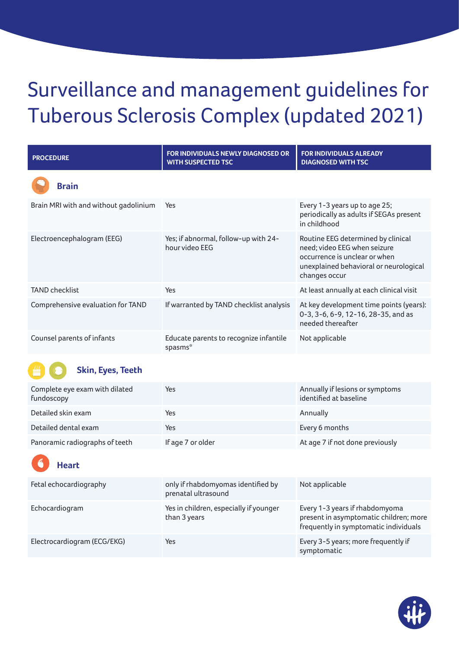## Surveillance and management guidelines for Tuberous Sclerosis Complex (updated 2021)

| <b>PROCEDURE</b>                      | <b>FOR INDIVIDUALS NEWLY DIAGNOSED OR</b><br><b>WITH SUSPECTED TSC</b> | <b>FOR INDIVIDUALS ALREADY</b><br><b>DIAGNOSED WITH TSC</b>                                                                                                    |
|---------------------------------------|------------------------------------------------------------------------|----------------------------------------------------------------------------------------------------------------------------------------------------------------|
| <b>Brain</b>                          |                                                                        |                                                                                                                                                                |
| Brain MRI with and without gadolinium | Yes                                                                    | Every 1-3 years up to age 25;<br>periodically as adults if SEGAs present<br>in childhood                                                                       |
| Electroencephalogram (EEG)            | Yes; if abnormal, follow-up with 24-<br>hour video EEG                 | Routine EEG determined by clinical<br>need; video EEG when seizure<br>occurrence is unclear or when<br>unexplained behavioral or neurological<br>changes occur |
| <b>TAND checklist</b>                 | Yes                                                                    | At least annually at each clinical visit                                                                                                                       |
| Comprehensive evaluation for TAND     | If warranted by TAND checklist analysis                                | At key development time points (years):<br>0-3, 3-6, 6-9, 12-16, 28-35, and as<br>needed thereafter                                                            |
| Counsel parents of infants            | Educate parents to recognize infantile<br>spasms*                      | Not applicable                                                                                                                                                 |



#### **Skin, Eyes, Teeth**

| Complete eye exam with dilated<br>fundoscopy | Yes               | Annually if lesions or symptoms<br>identified at baseline |
|----------------------------------------------|-------------------|-----------------------------------------------------------|
| Detailed skin exam                           | Yes               | Annually                                                  |
| Detailed dental exam                         | Yes               | Every 6 months                                            |
| Panoramic radiographs of teeth               | If age 7 or older | At age 7 if not done previously                           |

### **Heart**

| Fetal echocardiography      | only if rhabdomyomas identified by<br>prenatal ultrasound | Not applicable                                                                                                    |
|-----------------------------|-----------------------------------------------------------|-------------------------------------------------------------------------------------------------------------------|
| Echocardiogram              | Yes in children, especially if younger<br>than 3 years    | Every 1-3 years if rhabdomyoma<br>present in asymptomatic children; more<br>frequently in symptomatic individuals |
| Electrocardiogram (ECG/EKG) | Yes                                                       | Every 3-5 years; more frequently if<br>symptomatic                                                                |